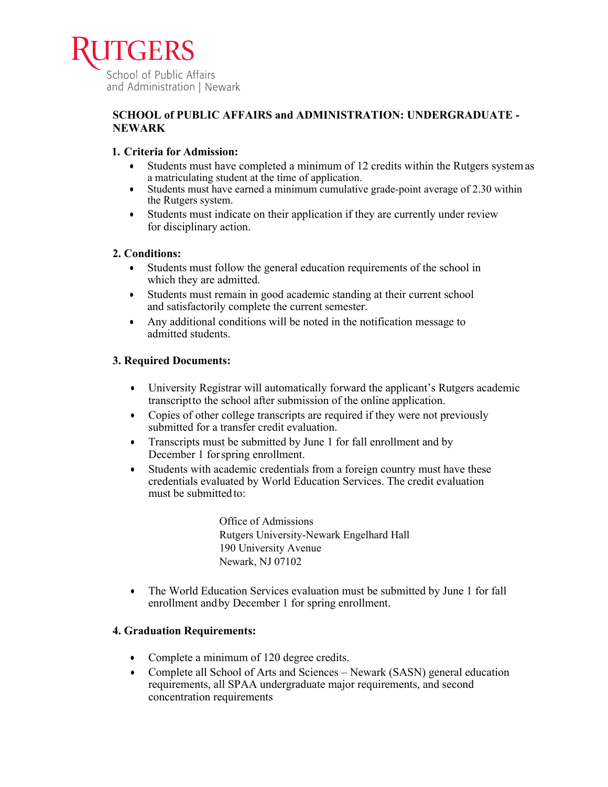

## **SCHOOL of PUBLIC AFFAIRS and ADMINISTRATION: UNDERGRADUATE - NEWARK**

### **1. Criteria for Admission:**

- Students must have completed a minimum of 12 credits within the Rutgers systemas a matriculating student at the time of application.
- Students must have earned a minimum cumulative grade-point average of 2.30 within the Rutgers system.
- Students must indicate on their application if they are currently under review for disciplinary action.

### **2. Conditions:**

- Students must follow the general education requirements of the school in which they are admitted.
- Students must remain in good academic standing at their current school and satisfactorily complete the current semester.
- Any additional conditions will be noted in the notification message to admitted students.

### **3. Required Documents:**

- University Registrar will automatically forward the applicant's Rutgers academic transcriptto the school after submission of the online application.
- Copies of other college transcripts are required if they were not previously submitted for a transfer credit evaluation.
- Transcripts must be submitted by June 1 for fall enrollment and by December 1 forspring enrollment.
- Students with academic credentials from a foreign country must have these credentials evaluated by World Education Services. The credit evaluation must be submitted to:

Office of Admissions Rutgers University-Newark Engelhard Hall 190 University Avenue Newark, NJ 07102

• The World Education Services evaluation must be submitted by June 1 for fall enrollment andby December 1 for spring enrollment.

## **4. Graduation Requirements:**

- Complete a minimum of 120 degree credits.
- Complete all School of Arts and Sciences Newark (SASN) general education requirements, all SPAA undergraduate major requirements, and second concentration requirements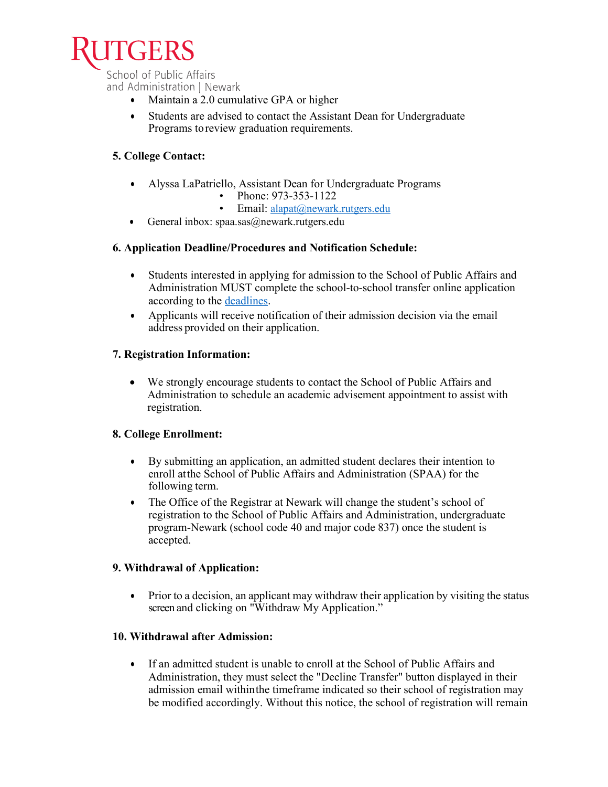

School of Public Affairs and Administration | Newark

- Maintain a 2.0 cumulative GPA or higher
- Students are advised to contact the Assistant Dean for Undergraduate Programs toreview graduation requirements.

# **5. College Contact:**

- Alyssa LaPatriello, Assistant Dean for Undergraduate Programs
	- Phone: 973-353-1122
	- Email: alapat@newark.rutgers.edu
- General inbox:  $spaa.sas@newark.rutgers.edu$

### **6. Application Deadline/Procedures and Notification Schedule:**

- Students interested in applying for admission to the School of Public Affairs and Administration MUST complete the school-to-school transfer online application according to the [deadlines.](https://www.ugadmissions.rutgers.edu/SchoolToSchool/procedures.aspx)
- Applicants will receive notification of their admission decision via the email address provided on their application.

### **7. Registration Information:**

• We strongly encourage students to contact the School of Public Affairs and Administration to schedule an academic advisement appointment to assist with registration.

#### **8. College Enrollment:**

- By submitting an application, an admitted student declares their intention to enroll atthe School of Public Affairs and Administration (SPAA) for the following term.
- The Office of the Registrar at Newark will change the student's school of registration to the School of Public Affairs and Administration, undergraduate program-Newark (school code 40 and major code 837) once the student is accepted.

#### **9. Withdrawal of Application:**

• Prior to a decision, an applicant may withdraw their application by visiting the status screen and clicking on "Withdraw My Application."

## **10. Withdrawal after Admission:**

• If an admitted student is unable to enroll at the School of Public Affairs and Administration, they must select the "Decline Transfer" button displayed in their admission email withinthe timeframe indicated so their school of registration may be modified accordingly. Without this notice, the school of registration will remain